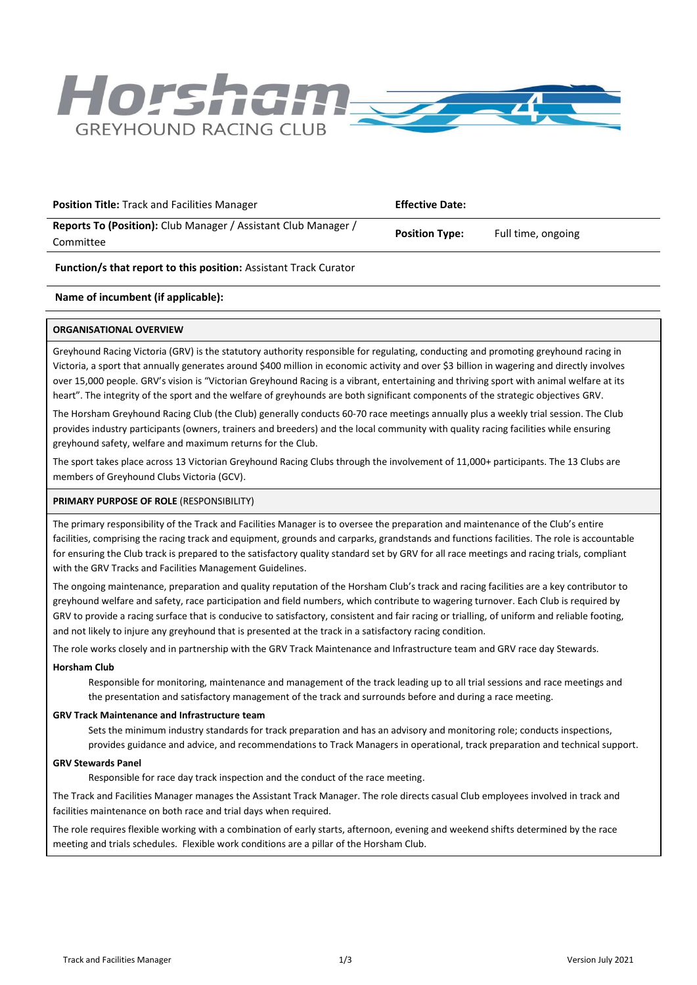

| <b>Position Title: Track and Facilities Manager</b>                                | <b>Effective Date:</b> |                    |
|------------------------------------------------------------------------------------|------------------------|--------------------|
| <b>Reports To (Position):</b> Club Manager / Assistant Club Manager /<br>Committee | <b>Position Type:</b>  | Full time, ongoing |

## **Function/s that report to this position:** Assistant Track Curator

## **Name of incumbent (if applicable):**

## **ORGANISATIONAL OVERVIEW**

Greyhound Racing Victoria (GRV) is the statutory authority responsible for regulating, conducting and promoting greyhound racing in Victoria, a sport that annually generates around \$400 million in economic activity and over \$3 billion in wagering and directly involves over 15,000 people. GRV's vision is "Victorian Greyhound Racing is a vibrant, entertaining and thriving sport with animal welfare at its heart". The integrity of the sport and the welfare of greyhounds are both significant components of the strategic objectives GRV.

The Horsham Greyhound Racing Club (the Club) generally conducts 60-70 race meetings annually plus a weekly trial session. The Club provides industry participants (owners, trainers and breeders) and the local community with quality racing facilities while ensuring greyhound safety, welfare and maximum returns for the Club.

The sport takes place across 13 Victorian Greyhound Racing Clubs through the involvement of 11,000+ participants. The 13 Clubs are members of Greyhound Clubs Victoria (GCV).

#### **PRIMARY PURPOSE OF ROLE** (RESPONSIBILITY)

The primary responsibility of the Track and Facilities Manager is to oversee the preparation and maintenance of the Club's entire facilities, comprising the racing track and equipment, grounds and carparks, grandstands and functions facilities. The role is accountable for ensuring the Club track is prepared to the satisfactory quality standard set by GRV for all race meetings and racing trials, compliant with the GRV Tracks and Facilities Management Guidelines.

The ongoing maintenance, preparation and quality reputation of the Horsham Club's track and racing facilities are a key contributor to greyhound welfare and safety, race participation and field numbers, which contribute to wagering turnover. Each Club is required by GRV to provide a racing surface that is conducive to satisfactory, consistent and fair racing or trialling, of uniform and reliable footing, and not likely to injure any greyhound that is presented at the track in a satisfactory racing condition.

The role works closely and in partnership with the GRV Track Maintenance and Infrastructure team and GRV race day Stewards.

#### **Horsham Club**

Responsible for monitoring, maintenance and management of the track leading up to all trial sessions and race meetings and the presentation and satisfactory management of the track and surrounds before and during a race meeting.

#### **GRV Track Maintenance and Infrastructure team**

Sets the minimum industry standards for track preparation and has an advisory and monitoring role; conducts inspections, provides guidance and advice, and recommendations to Track Managers in operational, track preparation and technical support.

## **GRV Stewards Panel**

Responsible for race day track inspection and the conduct of the race meeting.

The Track and Facilities Manager manages the Assistant Track Manager. The role directs casual Club employees involved in track and facilities maintenance on both race and trial days when required.

The role requires flexible working with a combination of early starts, afternoon, evening and weekend shifts determined by the race meeting and trials schedules. Flexible work conditions are a pillar of the Horsham Club.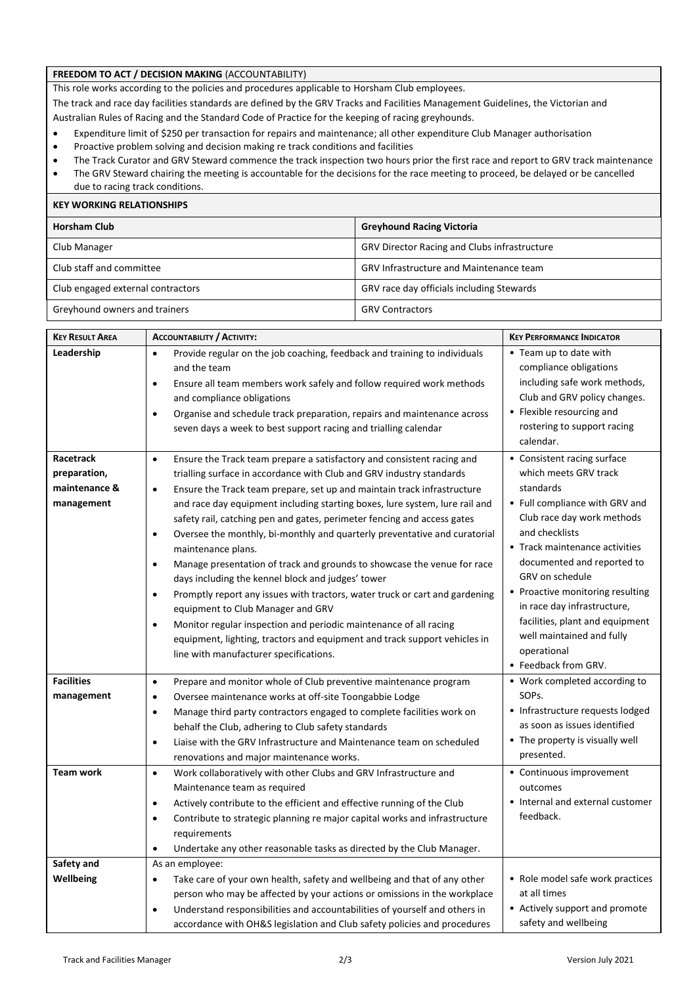## **FREEDOM TO ACT / DECISION MAKING** (ACCOUNTABILITY)

This role works according to the policies and procedures applicable to Horsham Club employees.

The track and race day facilities standards are defined by the GRV Tracks and Facilities Management Guidelines, the Victorian and Australian Rules of Racing and the Standard Code of Practice for the keeping of racing greyhounds.

- Expenditure limit of \$250 per transaction for repairs and maintenance; all other expenditure Club Manager authorisation
- Proactive problem solving and decision making re track conditions and facilities
- The Track Curator and GRV Steward commence the track inspection two hours prior the first race and report to GRV track maintenance
- The GRV Steward chairing the meeting is accountable for the decisions for the race meeting to proceed, be delayed or be cancelled due to racing track conditions.

| <b>KEY WORKING RELATIONSHIPS</b>  |                                                     |  |  |
|-----------------------------------|-----------------------------------------------------|--|--|
| <b>Horsham Club</b>               | <b>Greyhound Racing Victoria</b>                    |  |  |
| Club Manager                      | <b>GRV Director Racing and Clubs infrastructure</b> |  |  |
| Club staff and committee          | <b>GRV Infrastructure and Maintenance team</b>      |  |  |
| Club engaged external contractors | GRV race day officials including Stewards           |  |  |
| Greyhound owners and trainers     | <b>GRV Contractors</b>                              |  |  |

| <b>KEY RESULT AREA</b> | <b>ACCOUNTABILITY / ACTIVITY:</b>                                                        | <b>KEY PERFORMANCE INDICATOR</b> |
|------------------------|------------------------------------------------------------------------------------------|----------------------------------|
| Leadership             | Provide regular on the job coaching, feedback and training to individuals<br>$\bullet$   | • Team up to date with           |
|                        | and the team                                                                             | compliance obligations           |
|                        | Ensure all team members work safely and follow required work methods<br>$\bullet$        | including safe work methods,     |
|                        | and compliance obligations                                                               | Club and GRV policy changes.     |
|                        | Organise and schedule track preparation, repairs and maintenance across<br>$\bullet$     | • Flexible resourcing and        |
|                        | seven days a week to best support racing and trialling calendar                          | rostering to support racing      |
|                        |                                                                                          | calendar.                        |
| Racetrack              | Ensure the Track team prepare a satisfactory and consistent racing and<br>$\bullet$      | • Consistent racing surface      |
| preparation,           | trialling surface in accordance with Club and GRV industry standards                     | which meets GRV track            |
| maintenance &          | Ensure the Track team prepare, set up and maintain track infrastructure<br>$\bullet$     | standards                        |
| management             | and race day equipment including starting boxes, lure system, lure rail and              | • Full compliance with GRV and   |
|                        | safety rail, catching pen and gates, perimeter fencing and access gates                  | Club race day work methods       |
|                        | Oversee the monthly, bi-monthly and quarterly preventative and curatorial<br>$\bullet$   | and checklists                   |
|                        | maintenance plans.                                                                       | • Track maintenance activities   |
|                        | Manage presentation of track and grounds to showcase the venue for race<br>$\bullet$     | documented and reported to       |
|                        | days including the kennel block and judges' tower                                        | GRV on schedule                  |
|                        | Promptly report any issues with tractors, water truck or cart and gardening<br>$\bullet$ | • Proactive monitoring resulting |
|                        | equipment to Club Manager and GRV                                                        | in race day infrastructure,      |
|                        | Monitor regular inspection and periodic maintenance of all racing<br>$\bullet$           | facilities, plant and equipment  |
|                        | equipment, lighting, tractors and equipment and track support vehicles in                | well maintained and fully        |
|                        | line with manufacturer specifications.                                                   | operational                      |
|                        |                                                                                          | • Feedback from GRV.             |
| <b>Facilities</b>      | Prepare and monitor whole of Club preventive maintenance program<br>$\bullet$            | • Work completed according to    |
| management             | Oversee maintenance works at off-site Toongabbie Lodge<br>$\bullet$                      | SOPs.                            |
|                        | Manage third party contractors engaged to complete facilities work on<br>$\bullet$       | • Infrastructure requests lodged |
|                        | behalf the Club, adhering to Club safety standards                                       | as soon as issues identified     |
|                        | Liaise with the GRV Infrastructure and Maintenance team on scheduled<br>$\bullet$        | • The property is visually well  |
|                        | renovations and major maintenance works.                                                 | presented.                       |
| <b>Team work</b>       | Work collaboratively with other Clubs and GRV Infrastructure and<br>$\bullet$            | • Continuous improvement         |
|                        | Maintenance team as required                                                             | outcomes                         |
|                        | Actively contribute to the efficient and effective running of the Club<br>$\bullet$      | • Internal and external customer |
|                        | Contribute to strategic planning re major capital works and infrastructure<br>$\bullet$  | feedback.                        |
|                        | requirements                                                                             |                                  |
|                        | Undertake any other reasonable tasks as directed by the Club Manager.<br>$\bullet$       |                                  |
| Safety and             | As an employee:                                                                          |                                  |
| Wellbeing              | Take care of your own health, safety and wellbeing and that of any other<br>$\bullet$    | • Role model safe work practices |
|                        | person who may be affected by your actions or omissions in the workplace                 | at all times                     |
|                        | Understand responsibilities and accountabilities of yourself and others in<br>$\bullet$  | • Actively support and promote   |
|                        | accordance with OH&S legislation and Club safety policies and procedures                 | safety and wellbeing             |